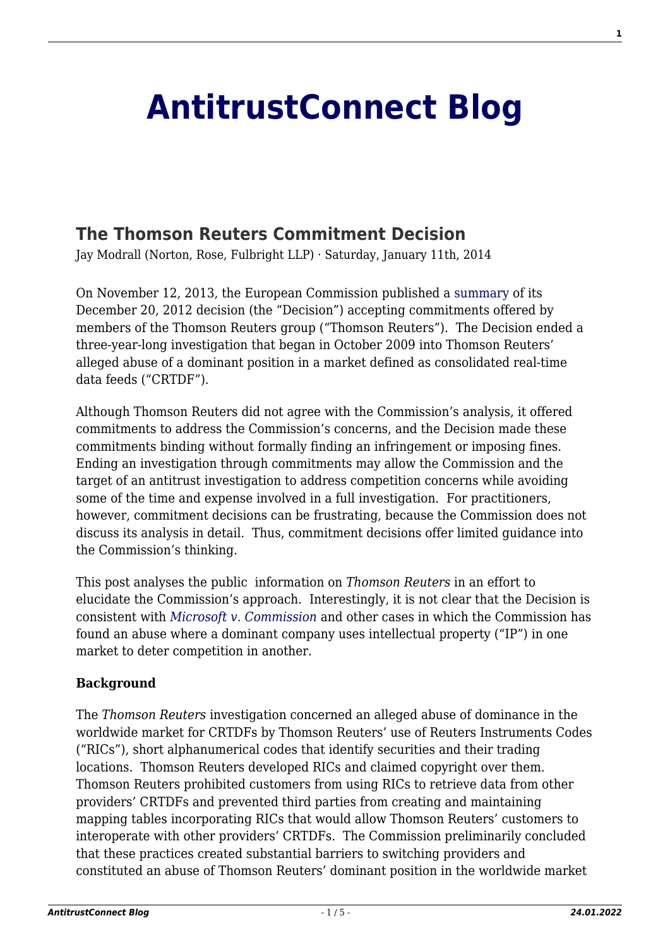# **[AntitrustConnect Blog](http://antitrustconnect.com/)**

## **[The Thomson Reuters Commitment Decision](http://antitrustconnect.com/2014/01/11/the-thomson-reuters-commitment-decision/)**

Jay Modrall (Norton, Rose, Fulbright LLP) · Saturday, January 11th, 2014

On November 12, 2013, the European Commission published a [summary](http://ec.europa.eu/competition/elojade/antitrust/) of its December 20, 2012 decision (the "Decision") accepting commitments offered by members of the Thomson Reuters group ("Thomson Reuters"). The Decision ended a three-year-long investigation that began in October 2009 into Thomson Reuters' alleged abuse of a dominant position in a market defined as consolidated real-time data feeds ("CRTDF").

Although Thomson Reuters did not agree with the Commission's analysis, it offered commitments to address the Commission's concerns, and the Decision made these commitments binding without formally finding an infringement or imposing fines. Ending an investigation through commitments may allow the Commission and the target of an antitrust investigation to address competition concerns while avoiding some of the time and expense involved in a full investigation. For practitioners, however, commitment decisions can be frustrating, because the Commission does not discuss its analysis in detail. Thus, commitment decisions offer limited guidance into the Commission's thinking.

This post analyses the public information on *Thomson Reuters* in an effort to elucidate the Commission's approach. Interestingly, it is not clear that the Decision is consistent with *[Microsoft v. Commission](http://curia.europa.eu/juris/document/document.jsf?text=&docid=124434&pageIndex=0&doclang=en&mode=lst&dir=&occ=first&part=1&cid=138477%20)* and other cases in which the Commission has found an abuse where a dominant company uses intellectual property ("IP") in one market to deter competition in another.

### **Background**

The *Thomson Reuters* investigation concerned an alleged abuse of dominance in the worldwide market for CRTDFs by Thomson Reuters' use of Reuters Instruments Codes ("RICs"), short alphanumerical codes that identify securities and their trading locations. Thomson Reuters developed RICs and claimed copyright over them. Thomson Reuters prohibited customers from using RICs to retrieve data from other providers' CRTDFs and prevented third parties from creating and maintaining mapping tables incorporating RICs that would allow Thomson Reuters' customers to interoperate with other providers' CRTDFs. The Commission preliminarily concluded that these practices created substantial barriers to switching providers and constituted an abuse of Thomson Reuters' dominant position in the worldwide market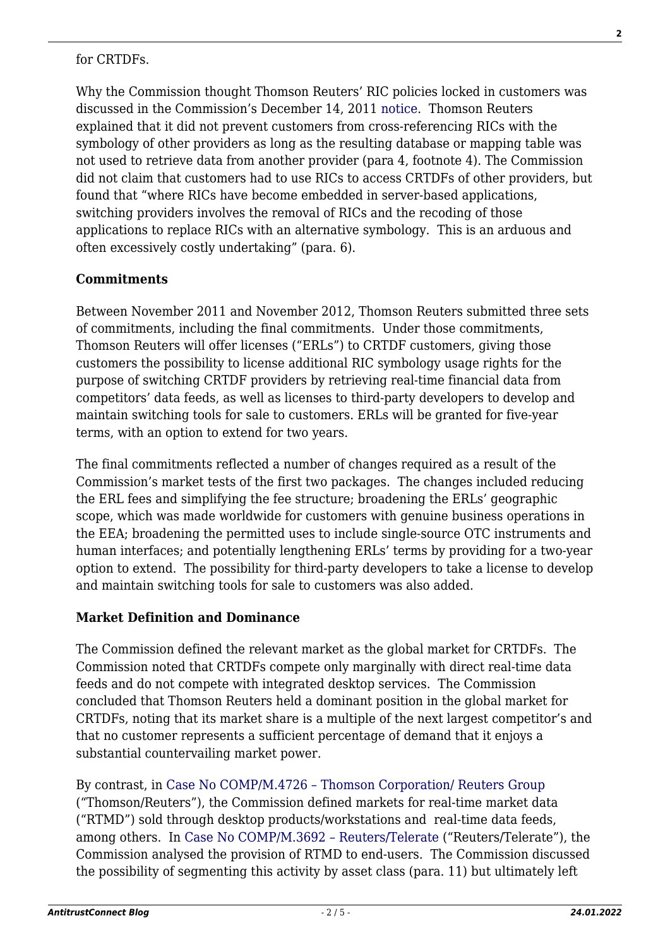#### for CRTDFs.

Why the Commission thought Thomson Reuters' RIC policies locked in customers was discussed in the Commission's December 14, 2011 [notice](http://ec.europa.eu/competition/elojade/isef/case_details.cfm?proc_code=1_39654). Thomson Reuters explained that it did not prevent customers from cross-referencing RICs with the symbology of other providers as long as the resulting database or mapping table was not used to retrieve data from another provider (para 4, footnote 4). The Commission did not claim that customers had to use RICs to access CRTDFs of other providers, but found that "where RICs have become embedded in server-based applications, switching providers involves the removal of RICs and the recoding of those applications to replace RICs with an alternative symbology. This is an arduous and often excessively costly undertaking" (para. 6).

### **Commitments**

Between November 2011 and November 2012, Thomson Reuters submitted three sets of commitments, including the final commitments. Under those commitments, Thomson Reuters will offer licenses ("ERLs") to CRTDF customers, giving those customers the possibility to license additional RIC symbology usage rights for the purpose of switching CRTDF providers by retrieving real-time financial data from competitors' data feeds, as well as licenses to third-party developers to develop and maintain switching tools for sale to customers. ERLs will be granted for five-year terms, with an option to extend for two years.

The final commitments reflected a number of changes required as a result of the Commission's market tests of the first two packages. The changes included reducing the ERL fees and simplifying the fee structure; broadening the ERLs' geographic scope, which was made worldwide for customers with genuine business operations in the EEA; broadening the permitted uses to include single-source OTC instruments and human interfaces; and potentially lengthening ERLs' terms by providing for a two-year option to extend. The possibility for third-party developers to take a license to develop and maintain switching tools for sale to customers was also added.

### **Market Definition and Dominance**

The Commission defined the relevant market as the global market for CRTDFs. The Commission noted that CRTDFs compete only marginally with direct real-time data feeds and do not compete with integrated desktop services. The Commission concluded that Thomson Reuters held a dominant position in the global market for CRTDFs, noting that its market share is a multiple of the next largest competitor's and that no customer represents a sufficient percentage of demand that it enjoys a substantial countervailing market power.

By contrast, in [Case No COMP/M.4726 – Thomson Corporation/ Reuters Group](http://ec.europa.eu/competition/mergers/cases/decisions/m4726_20080219_20600_en.pdf) ("Thomson/Reuters"), the Commission defined markets for real-time market data ("RTMD") sold through desktop products/workstations and real-time data feeds, among others. In [Case No COMP/M.3692 – Reuters/Telerate](http://ec.europa.eu/competition/mergers/cases/decisions/m3692_20050523_20212_en.pdf) ("Reuters/Telerate"), the Commission analysed the provision of RTMD to end-users. The Commission discussed the possibility of segmenting this activity by asset class (para. 11) but ultimately left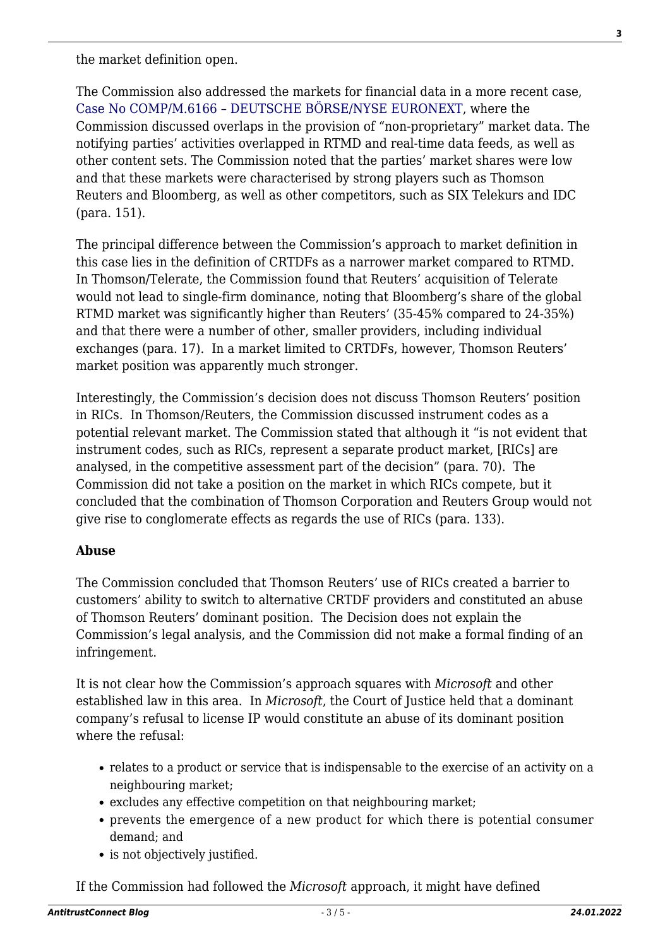the market definition open.

The Commission also addressed the markets for financial data in a more recent case, [Case No COMP/M.6166 – DEUTSCHE BÖRSE/NYSE EURONEXT](http://ec.europa.eu/competition/mergers/cases/decisions/m6166_20120201_20610_2711467_EN.pdf), where the Commission discussed overlaps in the provision of "non-proprietary" market data. The notifying parties' activities overlapped in RTMD and real-time data feeds, as well as other content sets. The Commission noted that the parties' market shares were low and that these markets were characterised by strong players such as Thomson Reuters and Bloomberg, as well as other competitors, such as SIX Telekurs and IDC (para. 151).

The principal difference between the Commission's approach to market definition in this case lies in the definition of CRTDFs as a narrower market compared to RTMD. In Thomson/Telerate, the Commission found that Reuters' acquisition of Telerate would not lead to single-firm dominance, noting that Bloomberg's share of the global RTMD market was significantly higher than Reuters' (35-45% compared to 24-35%) and that there were a number of other, smaller providers, including individual exchanges (para. 17). In a market limited to CRTDFs, however, Thomson Reuters' market position was apparently much stronger.

Interestingly, the Commission's decision does not discuss Thomson Reuters' position in RICs. In Thomson/Reuters, the Commission discussed instrument codes as a potential relevant market. The Commission stated that although it "is not evident that instrument codes, such as RICs, represent a separate product market, [RICs] are analysed, in the competitive assessment part of the decision" (para. 70). The Commission did not take a position on the market in which RICs compete, but it concluded that the combination of Thomson Corporation and Reuters Group would not give rise to conglomerate effects as regards the use of RICs (para. 133).

### **Abuse**

The Commission concluded that Thomson Reuters' use of RICs created a barrier to customers' ability to switch to alternative CRTDF providers and constituted an abuse of Thomson Reuters' dominant position. The Decision does not explain the Commission's legal analysis, and the Commission did not make a formal finding of an infringement.

It is not clear how the Commission's approach squares with *Microsoft* and other established law in this area. In *Microsoft*, the Court of Justice held that a dominant company's refusal to license IP would constitute an abuse of its dominant position where the refusal:

- relates to a product or service that is indispensable to the exercise of an activity on a neighbouring market;
- excludes any effective competition on that neighbouring market;
- prevents the emergence of a new product for which there is potential consumer demand; and
- is not objectively justified.

If the Commission had followed the *Microsoft* approach, it might have defined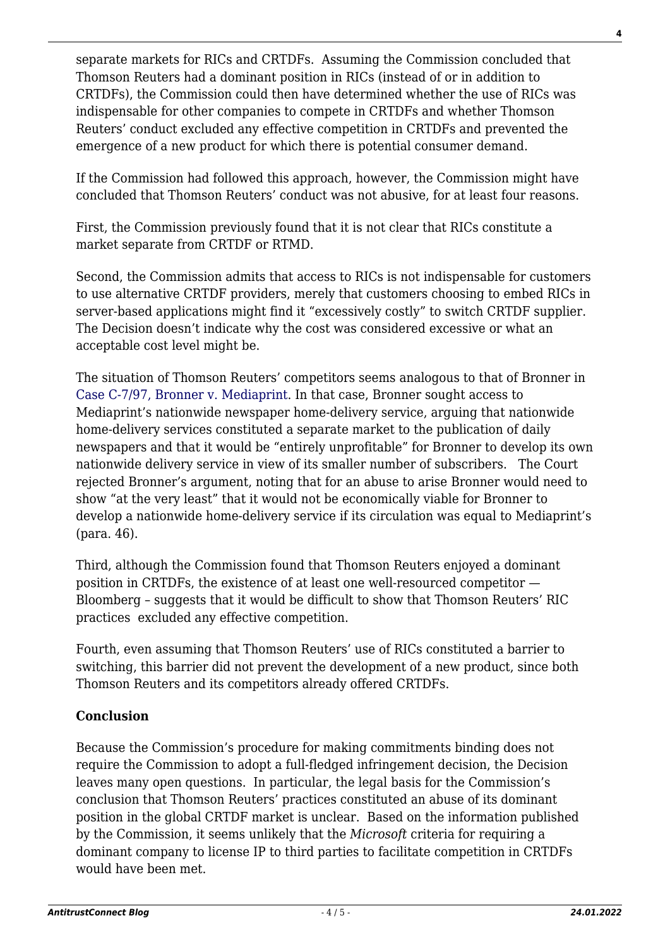separate markets for RICs and CRTDFs. Assuming the Commission concluded that Thomson Reuters had a dominant position in RICs (instead of or in addition to CRTDFs), the Commission could then have determined whether the use of RICs was indispensable for other companies to compete in CRTDFs and whether Thomson Reuters' conduct excluded any effective competition in CRTDFs and prevented the emergence of a new product for which there is potential consumer demand.

If the Commission had followed this approach, however, the Commission might have concluded that Thomson Reuters' conduct was not abusive, for at least four reasons.

First, the Commission previously found that it is not clear that RICs constitute a market separate from CRTDF or RTMD.

Second, the Commission admits that access to RICs is not indispensable for customers to use alternative CRTDF providers, merely that customers choosing to embed RICs in server-based applications might find it "excessively costly" to switch CRTDF supplier. The Decision doesn't indicate why the cost was considered excessive or what an acceptable cost level might be.

The situation of Thomson Reuters' competitors seems analogous to that of Bronner in [Case C-7/97, Bronner v. Mediaprint.](http://curia.europa.eu/juris/liste.jsf?language=en&num=C-7/97) In that case, Bronner sought access to Mediaprint's nationwide newspaper home-delivery service, arguing that nationwide home-delivery services constituted a separate market to the publication of daily newspapers and that it would be "entirely unprofitable" for Bronner to develop its own nationwide delivery service in view of its smaller number of subscribers. The Court rejected Bronner's argument, noting that for an abuse to arise Bronner would need to show "at the very least" that it would not be economically viable for Bronner to develop a nationwide home-delivery service if its circulation was equal to Mediaprint's (para. 46).

Third, although the Commission found that Thomson Reuters enjoyed a dominant position in CRTDFs, the existence of at least one well-resourced competitor — Bloomberg – suggests that it would be difficult to show that Thomson Reuters' RIC practices excluded any effective competition.

Fourth, even assuming that Thomson Reuters' use of RICs constituted a barrier to switching, this barrier did not prevent the development of a new product, since both Thomson Reuters and its competitors already offered CRTDFs.

### **Conclusion**

Because the Commission's procedure for making commitments binding does not require the Commission to adopt a full-fledged infringement decision, the Decision leaves many open questions. In particular, the legal basis for the Commission's conclusion that Thomson Reuters' practices constituted an abuse of its dominant position in the global CRTDF market is unclear. Based on the information published by the Commission, it seems unlikely that the *Microsoft* criteria for requiring a dominant company to license IP to third parties to facilitate competition in CRTDFs would have been met.